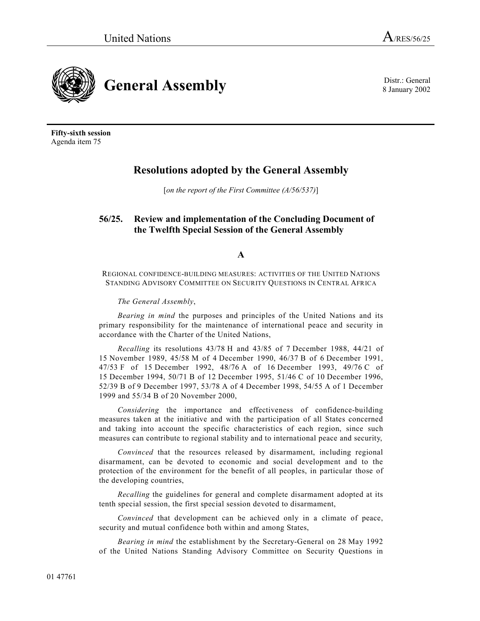

8 January 2002

**General Assembly** Distr.: General **Bullet** Sumuary 2002

**Fifty-sixth session** Agenda item 75

# **Resolutions adopted by the General Assembly**

[*on the report of the First Committee (A/56/537)*]

## **56/25. Review and implementation of the Concluding Document of the Twelfth Special Session of the General Assembly**

**A**

REGIONAL CONFIDENCE-BUILDING MEASURES: ACTIVITIES OF THE UNITED NATIONS STANDING ADVISORY COMMITTEE ON SECURITY QUESTIONS IN CENTRAL AFRICA

*The General Assembly*,

*Bearing in mind* the purposes and principles of the United Nations and its primary responsibility for the maintenance of international peace and security in accordance with the Charter of the United Nations,

*Recalling* its resolutions 43/78 H and 43/85 of 7 December 1988, 44/21 of 15 November 1989, 45/58 M of 4 December 1990, 46/37 B of 6 December 1991, 47/53 F of 15 December 1992, 48/76 A of 16 December 1993, 49/76 C of 15 December 1994, 50/71 B of 12 December 1995, 51/46 C of 10 December 1996, 52/39 B of 9 December 1997, 53/78 A of 4 December 1998, 54/55 A of 1 December 1999 and 55/34 B of 20 November 2000,

*Considering* the importance and effectiveness of confidence-building measures taken at the initiative and with the participation of all States concerned and taking into account the specific characteristics of each region, since such measures can contribute to regional stability and to international peace and security,

*Convinced* that the resources released by disarmament, including regional disarmament, can be devoted to economic and social development and to the protection of the environment for the benefit of all peoples, in particular those of the developing countries,

*Recalling* the guidelines for general and complete disarmament adopted at its tenth special session, the first special session devoted to disarmament,

*Convinced* that development can be achieved only in a climate of peace, security and mutual confidence both within and among States,

*Bearing in mind* the establishment by the Secretary-General on 28 May 1992 of the United Nations Standing Advisory Committee on Security Questions in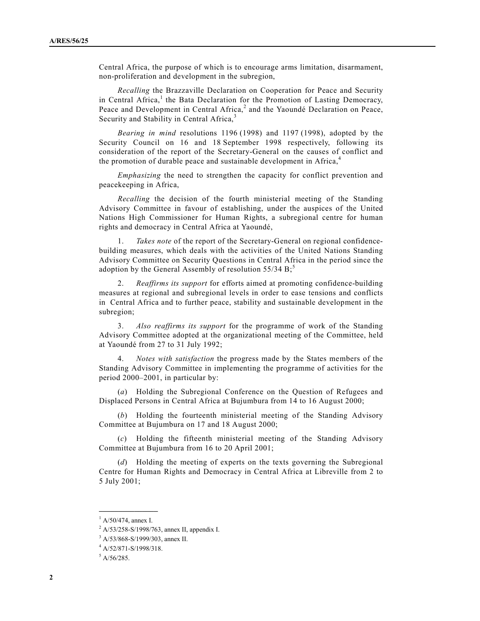Central Africa, the purpose of which is to encourage arms limitation, disarmament, non-proliferation and development in the subregion,

*Recalling* the Brazzaville Declaration on Cooperation for Peace and Security in Central Africa,<sup>1</sup> the Bata Declaration for the Promotion of Lasting Democracy, Peace and Development in Central Africa, $2$  and the Yaoundé Declaration on Peace, Security and Stability in Central Africa,<sup>3</sup>

*Bearing in mind* resolutions 1196 (1998) and 1197 (1998), adopted by the Security Council on 16 and 18 September 1998 respectively, following its consideration of the report of the Secretary-General on the causes of conflict and the promotion of durable peace and sustainable development in Africa,<sup>4</sup>

*Emphasizing* the need to strengthen the capacity for conflict prevention and peacekeeping in Africa,

*Recalling* the decision of the fourth ministerial meeting of the Standing Advisory Committee in favour of establishing, under the auspices of the United Nations High Commissioner for Human Rights, a subregional centre for human rights and democracy in Central Africa at Yaoundé,

1. *Takes note* of the report of the Secretary-General on regional confidencebuilding measures, which deals with the activities of the United Nations Standing Advisory Committee on Security Questions in Central Africa in the period since the adoption by the General Assembly of resolution  $55/34 B$ ;<sup>5</sup>

2. *Reaffirms its support* for efforts aimed at promoting confidence-building measures at regional and subregional levels in order to ease tensions and conflicts in Central Africa and to further peace, stability and sustainable development in the subregion;

3. *Also reaffirms its support* for the programme of work of the Standing Advisory Committee adopted at the organizational meeting of the Committee, held at Yaoundé from 27 to 31 July 1992;

4. *Notes with satisfaction* the progress made by the States members of the Standing Advisory Committee in implementing the programme of activities for the period  $2000-2001$ , in particular by:

(*a*) Holding the Subregional Conference on the Question of Refugees and Displaced Persons in Central Africa at Bujumbura from 14 to 16 August 2000;

(*b*) Holding the fourteenth ministerial meeting of the Standing Advisory Committee at Bujumbura on 17 and 18 August 2000;

(*c*) Holding the fifteenth ministerial meeting of the Standing Advisory Committee at Bujumbura from 16 to 20 April 2001;

(*d*) Holding the meeting of experts on the texts governing the Subregional Centre for Human Rights and Democracy in Central Africa at Libreville from 2 to 5 July 2001;

**\_\_\_\_\_\_\_\_\_\_\_\_\_\_\_** <sup>1</sup> A/50/474, annex I.

<sup>&</sup>lt;sup>2</sup> A/53/258-S/1998/763, annex II, appendix I.

<sup>&</sup>lt;sup>3</sup> A/53/868-S/1999/303, annex II.

<sup>4</sup> A/52/871-S/1998/318.

<sup>5</sup> A/56/285.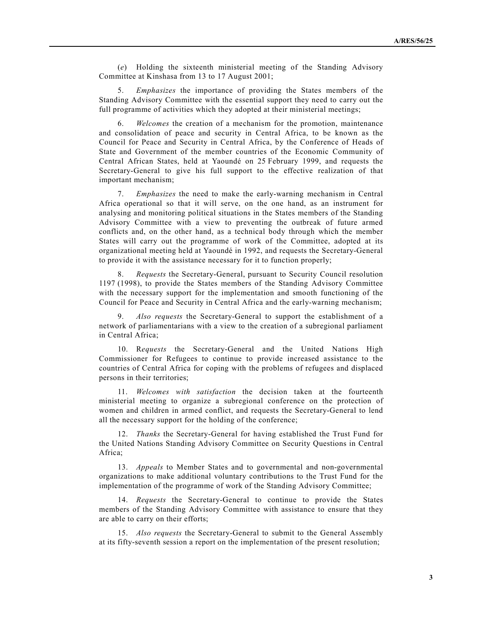(*e*) Holding the sixteenth ministerial meeting of the Standing Advisory Committee at Kinshasa from 13 to 17 August 2001;

5. *Emphasizes* the importance of providing the States members of the Standing Advisory Committee with the essential support they need to carry out the full programme of activities which they adopted at their ministerial meetings;

6. *Welcomes* the creation of a mechanism for the promotion, maintenance and consolidation of peace and security in Central Africa, to be known as the Council for Peace and Security in Central Africa, by the Conference of Heads of State and Government of the member countries of the Economic Community of Central African States, held at Yaoundé on 25 February 1999, and requests the Secretary-General to give his full support to the effective realization of that important mechanism;

7. *Emphasizes* the need to make the early-warning mechanism in Central Africa operational so that it will serve, on the one hand, as an instrument for analysing and monitoring political situations in the States members of the Standing Advisory Committee with a view to preventing the outbreak of future armed conflicts and, on the other hand, as a technical body through which the member States will carry out the programme of work of the Committee, adopted at its organizational meeting held at Yaoundé in 1992, and requests the Secretary-General to provide it with the assistance necessary for it to function properly;

8. *Requests* the Secretary-General, pursuant to Security Council resolution 1197 (1998), to provide the States members of the Standing Advisory Committee with the necessary support for the implementation and smooth functioning of the Council for Peace and Security in Central Africa and the early-warning mechanism;

9. *Also requests* the Secretary-General to support the establishment of a network of parliamentarians with a view to the creation of a subregional parliament in Central Africa;

10. R*equests* the Secretary-General and the United Nations High Commissioner for Refugees to continue to provide increased assistance to the countries of Central Africa for coping with the problems of refugees and displaced persons in their territories;

11. *Welcomes with satisfaction* the decision taken at the fourteenth ministerial meeting to organize a subregional conference on the protection of women and children in armed conflict, and requests the Secretary-General to lend all the necessary support for the holding of the conference;

12. *Thanks* the Secretary-General for having established the Trust Fund for the United Nations Standing Advisory Committee on Security Questions in Central Africa;

13. *Appeals* to Member States and to governmental and non-governmental organizations to make additional voluntary contributions to the Trust Fund for the implementation of the programme of work of the Standing Advisory Committee;

14. *Requests* the Secretary-General to continue to provide the States members of the Standing Advisory Committee with assistance to ensure that they are able to carry on their efforts;

15. *Also requests* the Secretary-General to submit to the General Assembly at its fifty-seventh session a report on the implementation of the present resolution;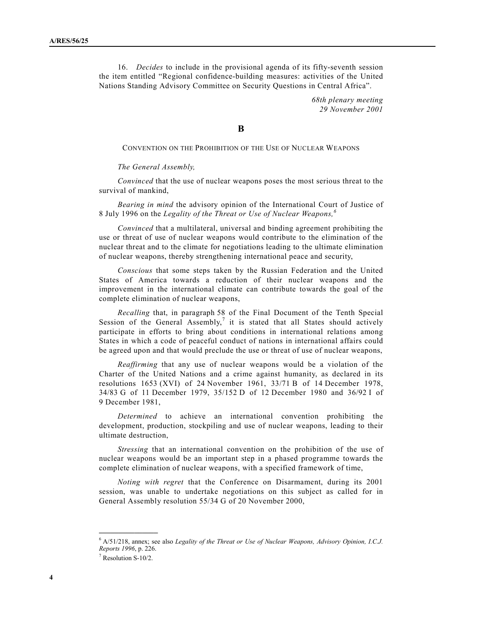16. *Decides* to include in the provisional agenda of its fifty-seventh session the item entitled "Regional confidence-building measures: activities of the United Nations Standing Advisory Committee on Security Questions in Central Africaî.

> *68th plenary meeting 29 November 2001*

**B**

CONVENTION ON THE PROHIBITION OF THE USE OF NUCLEAR WEAPONS

#### *The General Assembly,*

*Convinced* that the use of nuclear weapons poses the most serious threat to the survival of mankind,

*Bearing in mind* the advisory opinion of the International Court of Justice of 8 July 1996 on the *Legality of the Threat or Use of Nuclear Weapons,<sup>6</sup>*

*Convinced* that a multilateral, universal and binding agreement prohibiting the use or threat of use of nuclear weapons would contribute to the elimination of the nuclear threat and to the climate for negotiations leading to the ultimate elimination of nuclear weapons, thereby strengthening international peace and security,

*Conscious* that some steps taken by the Russian Federation and the United States of America towards a reduction of their nuclear weapons and the improvement in the international climate can contribute towards the goal of the complete elimination of nuclear weapons,

*Recalling* that, in paragraph 58 of the Final Document of the Tenth Special Session of the General Assembly,<sup>7</sup> it is stated that all States should actively participate in efforts to bring about conditions in international relations among States in which a code of peaceful conduct of nations in international affairs could be agreed upon and that would preclude the use or threat of use of nuclear weapons,

*Reaffirming* that any use of nuclear weapons would be a violation of the Charter of the United Nations and a crime against humanity, as declared in its resolutions 1653 (XVI) of 24 November 1961, 33/71 B of 14 December 1978, 34/83 G of 11 December 1979, 35/152 D of 12 December 1980 and 36/92 I of 9 December 1981,

*Determined* to achieve an international convention prohibiting the development, production, stockpiling and use of nuclear weapons, leading to their ultimate destruction,

*Stressing* that an international convention on the prohibition of the use of nuclear weapons would be an important step in a phased programme towards the complete elimination of nuclear weapons, with a specified framework of time,

*Noting with regret* that the Conference on Disarmament, during its 2001 session, was unable to undertake negotiations on this subject as called for in General Assembly resolution 55/34 G of 20 November 2000,

<sup>6</sup> A/51/218, annex; see also *Legality of the Threat or Use of Nuclear Weapons, Advisory Opinion, I.C.J. Reports 1996*, p. 226.

<sup>7</sup> Resolution S-10/2.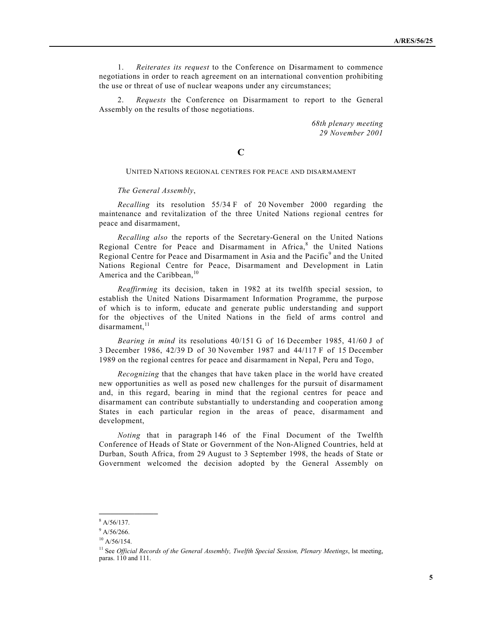1. *Reiterates its request* to the Conference on Disarmament to commence negotiations in order to reach agreement on an international convention prohibiting the use or threat of use of nuclear weapons under any circumstances;

2. *Requests* the Conference on Disarmament to report to the General Assembly on the results of those negotiations.

> *68th plenary meeting 29 November 2001*

### **C**

#### UNITED NATIONS REGIONAL CENTRES FOR PEACE AND DISARMAMENT

#### *The General Assembly*,

*Recalling* its resolution 55/34 F of 20 November 2000 regarding the maintenance and revitalization of the three United Nations regional centres for peace and disarmament,

*Recalling also* the reports of the Secretary-General on the United Nations Regional Centre for Peace and Disarmament in Africa,<sup>8</sup> the United Nations Regional Centre for Peace and Disarmament in Asia and the Pacific<sup>9</sup> and the United Nations Regional Centre for Peace, Disarmament and Development in Latin America and the Caribbean, $10$ 

*Reaffirming* its decision, taken in 1982 at its twelfth special session, to establish the United Nations Disarmament Information Programme, the purpose of which is to inform, educate and generate public understanding and support for the objectives of the United Nations in the field of arms control and disarmament,<sup>11</sup>

*Bearing in mind* its resolutions 40/151 G of 16 December 1985, 41/60 J of 3 December 1986, 42/39 D of 30 November 1987 and 44/117 F of 15 December 1989 on the regional centres for peace and disarmament in Nepal, Peru and Togo,

*Recognizing* that the changes that have taken place in the world have created new opportunities as well as posed new challenges for the pursuit of disarmament and, in this regard, bearing in mind that the regional centres for peace and disarmament can contribute substantially to understanding and cooperation among States in each particular region in the areas of peace, disarmament and development,

*Noting* that in paragraph 146 of the Final Document of the Twelfth Conference of Heads of State or Government of the Non-Aligned Countries, held at Durban, South Africa, from 29 August to 3 September 1998, the heads of State or Government welcomed the decision adopted by the General Assembly on

 $8 A/56/137.$ 

 $9$  A/56/266.

 $10 A/56/154.$ 

<sup>&</sup>lt;sup>11</sup> See *Official Records of the General Assembly, Twelfth Special Session, Plenary Meetings, lst meeting,* paras. 110 and 111.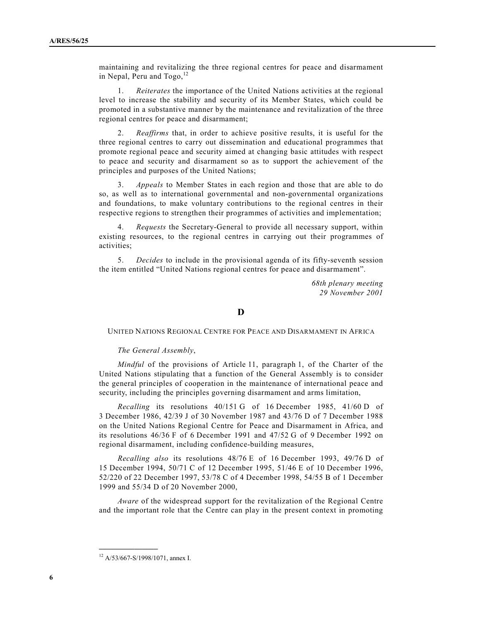maintaining and revitalizing the three regional centres for peace and disarmament in Nepal, Peru and  $Togo, <sup>12</sup>$ 

1. *Reiterates* the importance of the United Nations activities at the regional level to increase the stability and security of its Member States, which could be promoted in a substantive manner by the maintenance and revitalization of the three regional centres for peace and disarmament;

2. *Reaffirms* that, in order to achieve positive results, it is useful for the three regional centres to carry out dissemination and educational programmes that promote regional peace and security aimed at changing basic attitudes with respect to peace and security and disarmament so as to support the achievement of the principles and purposes of the United Nations;

3. *Appeals* to Member States in each region and those that are able to do so, as well as to international governmental and non-governmental organizations and foundations, to make voluntary contributions to the regional centres in their respective regions to strengthen their programmes of activities and implementation;

4. *Requests* the Secretary-General to provide all necessary support, within existing resources, to the regional centres in carrying out their programmes of activities;

5. *Decides* to include in the provisional agenda of its fifty-seventh session the item entitled "United Nations regional centres for peace and disarmament".

> *68th plenary meeting 29 November 2001*

## **D**

UNITED NATIONS REGIONAL CENTRE FOR PEACE AND DISARMAMENT IN AFRICA

#### *The General Assembly*,

*Mindful* of the provisions of Article 11, paragraph 1, of the Charter of the United Nations stipulating that a function of the General Assembly is to consider the general principles of cooperation in the maintenance of international peace and security, including the principles governing disarmament and arms limitation,

*Recalling* its resolutions 40/151 G of 16 December 1985, 41/60 D of 3 December 1986, 42/39 J of 30 November 1987 and 43/76 D of 7 December 1988 on the United Nations Regional Centre for Peace and Disarmament in Africa, and its resolutions 46/36 F of 6 December 1991 and 47/52 G of 9 December 1992 on regional disarmament, including confidence-building measures,

*Recalling also* its resolutions 48/76 E of 16 December 1993, 49/76 D of 15 December 1994, 50/71 C of 12 December 1995, 51/46 E of 10 December 1996, 52/220 of 22 December 1997, 53/78 C of 4 December 1998, 54/55 B of 1 December 1999 and 55/34 D of 20 November 2000,

*Aware* of the widespread support for the revitalization of the Regional Centre and the important role that the Centre can play in the present context in promoting

<sup>12</sup> A/53/667-S/1998/1071, annex I.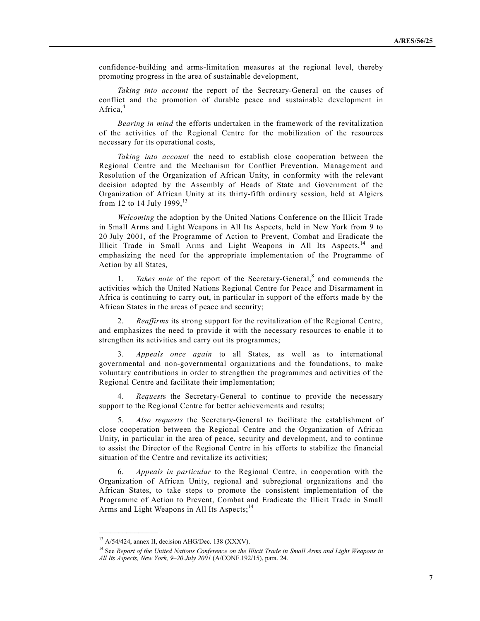confidence-building and arms-limitation measures at the regional level, thereby promoting progress in the area of sustainable development,

*Taking into account* the report of the Secretary-General on the causes of conflict and the promotion of durable peace and sustainable development in Africa. $4$ 

*Bearing in mind* the efforts undertaken in the framework of the revitalization of the activities of the Regional Centre for the mobilization of the resources necessary for its operational costs,

*Taking into account* the need to establish close cooperation between the Regional Centre and the Mechanism for Conflict Prevention, Management and Resolution of the Organization of African Unity, in conformity with the relevant decision adopted by the Assembly of Heads of State and Government of the Organization of African Unity at its thirty-fifth ordinary session, held at Algiers from 12 to 14 July 1999,  $13$ 

*Welcoming* the adoption by the United Nations Conference on the Illicit Trade in Small Arms and Light Weapons in All Its Aspects, held in New York from 9 to 20 July 2001, of the Programme of Action to Prevent, Combat and Eradicate the Illicit Trade in Small Arms and Light Weapons in All Its Aspects, $14$  and emphasizing the need for the appropriate implementation of the Programme of Action by all States,

1. *Takes note* of the report of the Secretary-General,<sup>8</sup> and commends the activities which the United Nations Regional Centre for Peace and Disarmament in Africa is continuing to carry out, in particular in support of the efforts made by the African States in the areas of peace and security;

2. *Reaffirms* its strong support for the revitalization of the Regional Centre, and emphasizes the need to provide it with the necessary resources to enable it to strengthen its activities and carry out its programmes;

3. *Appeals once again* to all States, as well as to international governmental and non-governmental organizations and the foundations, to make voluntary contributions in order to strengthen the programmes and activities of the Regional Centre and facilitate their implementation;

4. *Request*s the Secretary-General to continue to provide the necessary support to the Regional Centre for better achievements and results;

5. *Also requests* the Secretary-General to facilitate the establishment of close cooperation between the Regional Centre and the Organization of African Unity, in particular in the area of peace, security and development, and to continue to assist the Director of the Regional Centre in his efforts to stabilize the financial situation of the Centre and revitalize its activities;

6. *Appeals in particular* to the Regional Centre, in cooperation with the Organization of African Unity, regional and subregional organizations and the African States, to take steps to promote the consistent implementation of the Programme of Action to Prevent, Combat and Eradicate the Illicit Trade in Small Arms and Light Weapons in All Its Aspects:<sup>14</sup>

<sup>13</sup> A/54/424, annex II, decision AHG/Dec. 138 (XXXV).

<sup>14</sup> See *Report of the United Nations Conference on the Illicit Trade in Small Arms and Light Weapons in All Its Aspects, New York, 9-20 July 2001* (A/CONF.192/15), para. 24.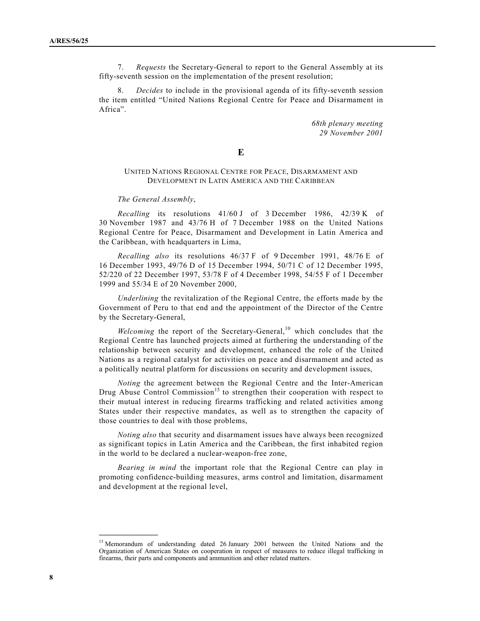7. *Requests* the Secretary-General to report to the General Assembly at its fifty-seventh session on the implementation of the present resolution;

8. *Decides* to include in the provisional agenda of its fifty-seventh session the item entitled "United Nations Regional Centre for Peace and Disarmament in Africa".

> *68th plenary meeting 29 November 2001*

#### **E**

#### UNITED NATIONS REGIONAL CENTRE FOR PEACE, DISARMAMENT AND DEVELOPMENT IN LATIN AMERICA AND THE CARIBBEAN

#### *The General Assembly*,

*Recalling* its resolutions 41/60 J of 3 December 1986, 42/39 K of 30 November 1987 and 43/76 H of 7 December 1988 on the United Nations Regional Centre for Peace, Disarmament and Development in Latin America and the Caribbean, with headquarters in Lima,

*Recalling also* its resolutions 46/37 F of 9 December 1991, 48/76 E of 16 December 1993, 49/76 D of 15 December 1994, 50/71 C of 12 December 1995, 52/220 of 22 December 1997, 53/78 F of 4 December 1998, 54/55 F of 1 December 1999 and 55/34 E of 20 November 2000,

*Underlining* the revitalization of the Regional Centre, the efforts made by the Government of Peru to that end and the appointment of the Director of the Centre by the Secretary-General,

*Welcoming* the report of the Secretary-General,<sup>10</sup> which concludes that the Regional Centre has launched projects aimed at furthering the understanding of the relationship between security and development, enhanced the role of the United Nations as a regional catalyst for activities on peace and disarmament and acted as a politically neutral platform for discussions on security and development issues,

*Noting* the agreement between the Regional Centre and the Inter-American Drug Abuse Control Commission<sup>15</sup> to strengthen their cooperation with respect to their mutual interest in reducing firearms trafficking and related activities among States under their respective mandates, as well as to strengthen the capacity of those countries to deal with those problems,

*Noting also* that security and disarmament issues have always been recognized as significant topics in Latin America and the Caribbean, the first inhabited region in the world to be declared a nuclear-weapon-free zone,

*Bearing in mind* the important role that the Regional Centre can play in promoting confidence-building measures, arms control and limitation, disarmament and development at the regional level,

<sup>&</sup>lt;sup>15</sup> Memorandum of understanding dated 26 January 2001 between the United Nations and the Organization of American States on cooperation in respect of measures to reduce illegal trafficking in firearms, their parts and components and ammunition and other related matters.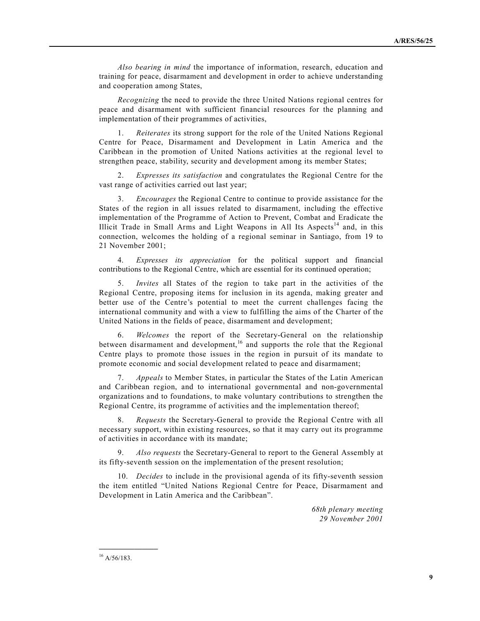*Also bearing in mind* the importance of information, research, education and training for peace, disarmament and development in order to achieve understanding and cooperation among States,

*Recognizing* the need to provide the three United Nations regional centres for peace and disarmament with sufficient financial resources for the planning and implementation of their programmes of activities,

1. *Reiterates* its strong support for the role of the United Nations Regional Centre for Peace, Disarmament and Development in Latin America and the Caribbean in the promotion of United Nations activities at the regional level to strengthen peace, stability, security and development among its member States;

2. *Expresses its satisfaction* and congratulates the Regional Centre for the vast range of activities carried out last year;

3. *Encourages* the Regional Centre to continue to provide assistance for the States of the region in all issues related to disarmament, including the effective implementation of the Programme of Action to Prevent, Combat and Eradicate the Illicit Trade in Small Arms and Light Weapons in All Its Aspects<sup>14</sup> and, in this connection, welcomes the holding of a regional seminar in Santiago, from 19 to 21 November 2001;

4. *Expresses its appreciation* for the political support and financial contributions to the Regional Centre, which are essential for its continued operation;

5. *Invites* all States of the region to take part in the activities of the Regional Centre, proposing items for inclusion in its agenda, making greater and better use of the Centre's potential to meet the current challenges facing the international community and with a view to fulfilling the aims of the Charter of the United Nations in the fields of peace, disarmament and development;

6. *Welcomes* the report of the Secretary-General on the relationship between disarmament and development,<sup>16</sup> and supports the role that the Regional Centre plays to promote those issues in the region in pursuit of its mandate to promote economic and social development related to peace and disarmament;

7. *Appeals* to Member States, in particular the States of the Latin American and Caribbean region, and to international governmental and non-governmental organizations and to foundations, to make voluntary contributions to strengthen the Regional Centre, its programme of activities and the implementation thereof;

8. *Requests* the Secretary-General to provide the Regional Centre with all necessary support, within existing resources, so that it may carry out its programme of activities in accordance with its mandate;

9. *Also requests* the Secretary-General to report to the General Assembly at its fifty-seventh session on the implementation of the present resolution;

10. *Decides* to include in the provisional agenda of its fifty-seventh session the item entitled "United Nations Regional Centre for Peace, Disarmament and Development in Latin America and the Caribbean".

> *68th plenary meeting 29 November 2001*

 $16$  A/56/183.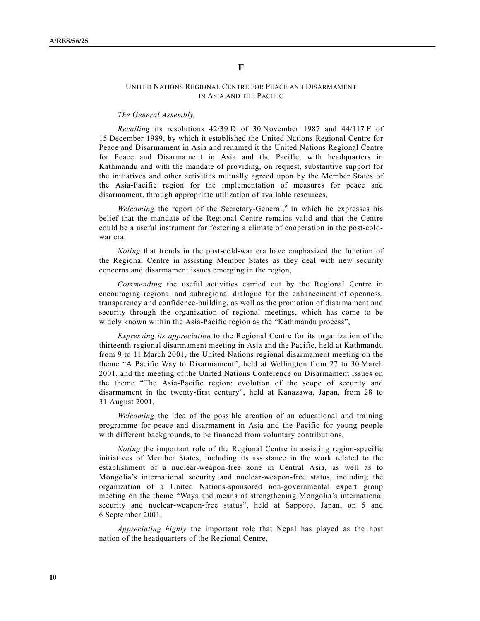## UNITED NATIONS REGIONAL CENTRE FOR PEACE AND DISARMAMENT IN ASIA AND THE PACIFIC

#### *The General Assembly,*

*Recalling* its resolutions 42/39 D of 30 November 1987 and 44/117 F of 15 December 1989, by which it established the United Nations Regional Centre for Peace and Disarmament in Asia and renamed it the United Nations Regional Centre for Peace and Disarmament in Asia and the Pacific, with headquarters in Kathmandu and with the mandate of providing, on request, substantive support for the initiatives and other activities mutually agreed upon by the Member States of the Asia-Pacific region for the implementation of measures for peace and disarmament, through appropriate utilization of available resources,

Welcoming the report of the Secretary-General,<sup>9</sup> in which he expresses his belief that the mandate of the Regional Centre remains valid and that the Centre could be a useful instrument for fostering a climate of cooperation in the post-coldwar era,

*Noting* that trends in the post-cold-war era have emphasized the function of the Regional Centre in assisting Member States as they deal with new security concerns and disarmament issues emerging in the region,

*Commending* the useful activities carried out by the Regional Centre in encouraging regional and subregional dialogue for the enhancement of openness, transparency and confidence-building, as well as the promotion of disarmament and security through the organization of regional meetings, which has come to be widely known within the Asia-Pacific region as the "Kathmandu process",

*Expressing its appreciation* to the Regional Centre for its organization of the thirteenth regional disarmament meeting in Asia and the Pacific, held at Kathmandu from 9 to 11 March 2001, the United Nations regional disarmament meeting on the theme "A Pacific Way to Disarmament", held at Wellington from 27 to 30 March 2001, and the meeting of the United Nations Conference on Disarmament Issues on the theme "The Asia-Pacific region: evolution of the scope of security and disarmament in the twenty-first century", held at Kanazawa, Japan, from 28 to 31 August 2001,

*Welcoming* the idea of the possible creation of an educational and training programme for peace and disarmament in Asia and the Pacific for young people with different backgrounds, to be financed from voluntary contributions,

*Noting* the important role of the Regional Centre in assisting region-specific initiatives of Member States, including its assistance in the work related to the establishment of a nuclear-weapon-free zone in Central Asia, as well as to Mongoliaís international security and nuclear-weapon-free status, including the organization of a United Nations-sponsored non-governmental expert group meeting on the theme "Ways and means of strengthening Mongolia's international security and nuclear-weapon-free status", held at Sapporo, Japan, on 5 and 6 September 2001,

*Appreciating highly* the important role that Nepal has played as the host nation of the headquarters of the Regional Centre,